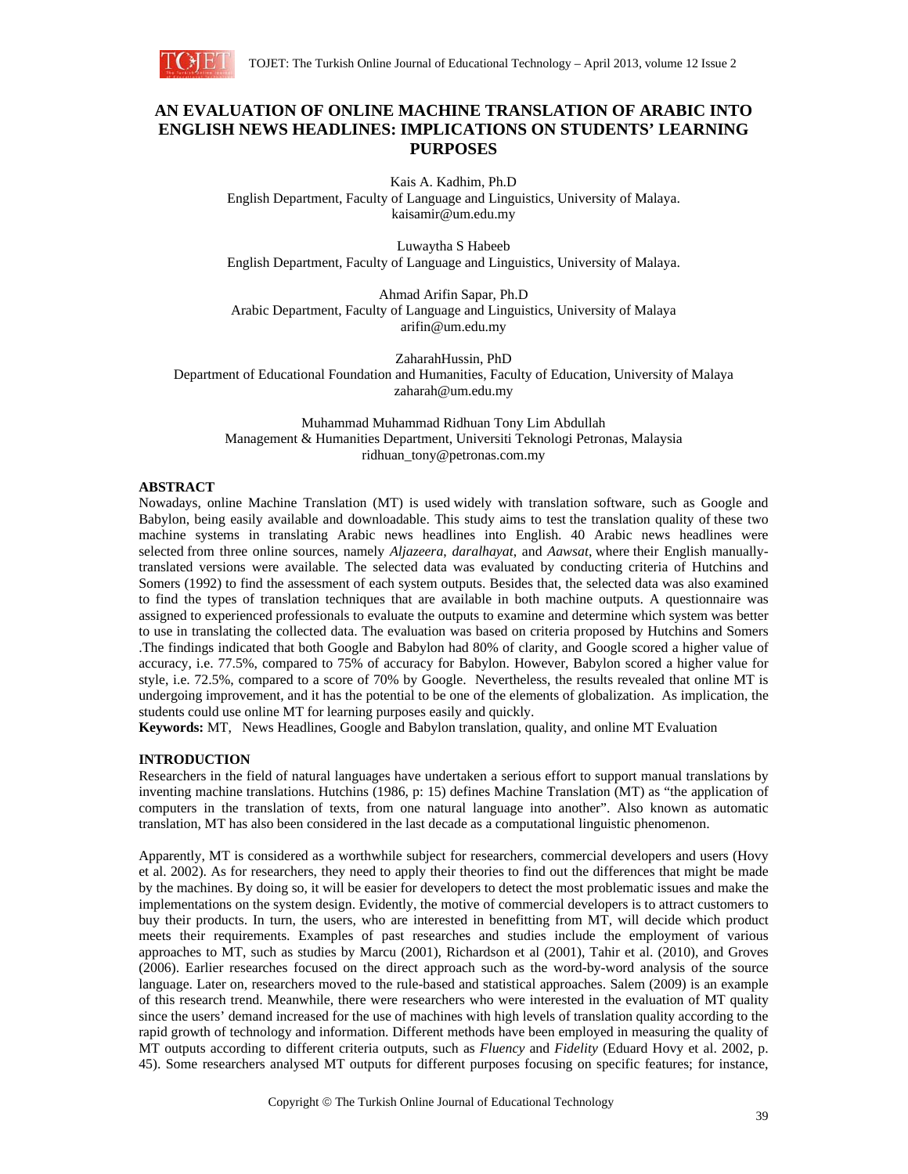

# **AN EVALUATION OF ONLINE MACHINE TRANSLATION OF ARABIC INTO ENGLISH NEWS HEADLINES: IMPLICATIONS ON STUDENTS' LEARNING PURPOSES**

Kais A. Kadhim, Ph.D English Department, Faculty of Language and Linguistics, University of Malaya. kaisamir@um.edu.my

Luwaytha S Habeeb English Department, Faculty of Language and Linguistics, University of Malaya.

Ahmad Arifin Sapar, Ph.D Arabic Department, Faculty of Language and Linguistics, University of Malaya arifin@um.edu.my

ZaharahHussin, PhD Department of Educational Foundation and Humanities, Faculty of Education, University of Malaya zaharah@um.edu.my

Muhammad Muhammad Ridhuan Tony Lim Abdullah Management & Humanities Department, Universiti Teknologi Petronas, Malaysia ridhuan\_tony@petronas.com.my

# **ABSTRACT**

Nowadays, online Machine Translation (MT) is used widely with translation software, such as Google and Babylon, being easily available and downloadable. This study aims to test the translation quality of these two machine systems in translating Arabic news headlines into English. 40 Arabic news headlines were selected from three online sources, namely *Aljazeera*, *daralhayat*, and *Aawsat*, where their English manuallytranslated versions were available. The selected data was evaluated by conducting criteria of Hutchins and Somers (1992) to find the assessment of each system outputs. Besides that, the selected data was also examined to find the types of translation techniques that are available in both machine outputs. A questionnaire was assigned to experienced professionals to evaluate the outputs to examine and determine which system was better to use in translating the collected data. The evaluation was based on criteria proposed by Hutchins and Somers .The findings indicated that both Google and Babylon had 80% of clarity, and Google scored a higher value of accuracy, i.e. 77.5%, compared to 75% of accuracy for Babylon. However, Babylon scored a higher value for style, i.e. 72.5%, compared to a score of 70% by Google. Nevertheless, the results revealed that online MT is undergoing improvement, and it has the potential to be one of the elements of globalization. As implication, the students could use online MT for learning purposes easily and quickly.

**Keywords:** MT, News Headlines, Google and Babylon translation, quality, and online MT Evaluation

#### **INTRODUCTION**

Researchers in the field of natural languages have undertaken a serious effort to support manual translations by inventing machine translations. Hutchins (1986, p: 15) defines Machine Translation (MT) as "the application of computers in the translation of texts, from one natural language into another". Also known as automatic translation, MT has also been considered in the last decade as a computational linguistic phenomenon.

Apparently, MT is considered as a worthwhile subject for researchers, commercial developers and users (Hovy et al. 2002). As for researchers, they need to apply their theories to find out the differences that might be made by the machines. By doing so, it will be easier for developers to detect the most problematic issues and make the implementations on the system design. Evidently, the motive of commercial developers is to attract customers to buy their products. In turn, the users, who are interested in benefitting from MT, will decide which product meets their requirements. Examples of past researches and studies include the employment of various approaches to MT, such as studies by Marcu (2001), Richardson et al (2001), Tahir et al. (2010), and Groves (2006). Earlier researches focused on the direct approach such as the word-by-word analysis of the source language. Later on, researchers moved to the rule-based and statistical approaches. Salem (2009) is an example of this research trend. Meanwhile, there were researchers who were interested in the evaluation of MT quality since the users' demand increased for the use of machines with high levels of translation quality according to the rapid growth of technology and information. Different methods have been employed in measuring the quality of MT outputs according to different criteria outputs, such as *Fluency* and *Fidelity* (Eduard Hovy et al. 2002, p. 45). Some researchers analysed MT outputs for different purposes focusing on specific features; for instance,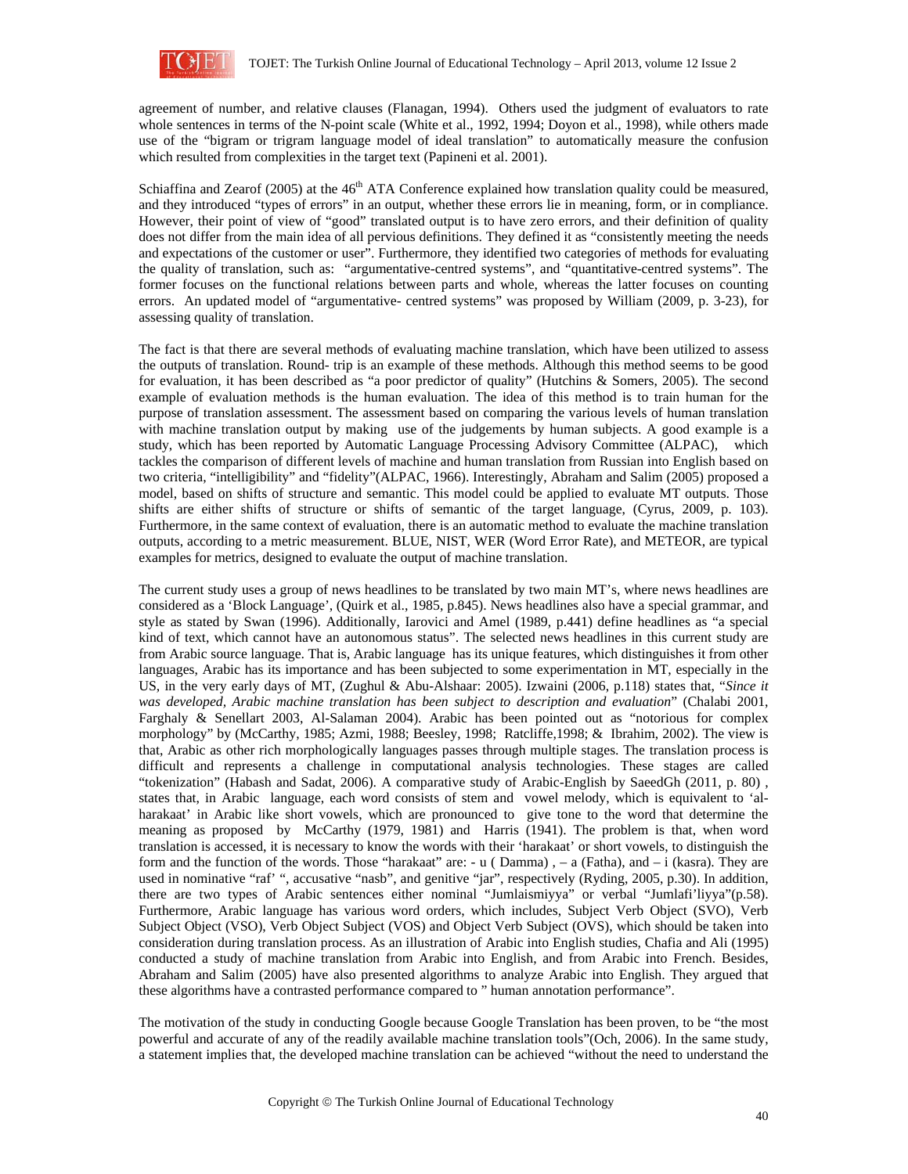

agreement of number, and relative clauses (Flanagan, 1994). Others used the judgment of evaluators to rate whole sentences in terms of the N-point scale (White et al., 1992, 1994; Doyon et al., 1998), while others made use of the "bigram or trigram language model of ideal translation" to automatically measure the confusion which resulted from complexities in the target text (Papineni et al. 2001).

Schiaffina and Zearof (2005) at the 46<sup>th</sup> ATA Conference explained how translation quality could be measured, and they introduced "types of errors" in an output, whether these errors lie in meaning, form, or in compliance. However, their point of view of "good" translated output is to have zero errors, and their definition of quality does not differ from the main idea of all pervious definitions. They defined it as "consistently meeting the needs and expectations of the customer or user". Furthermore, they identified two categories of methods for evaluating the quality of translation, such as: "argumentative-centred systems", and "quantitative-centred systems". The former focuses on the functional relations between parts and whole, whereas the latter focuses on counting errors. An updated model of "argumentative- centred systems" was proposed by William (2009, p. 3-23), for assessing quality of translation.

The fact is that there are several methods of evaluating machine translation, which have been utilized to assess the outputs of translation. Round- trip is an example of these methods. Although this method seems to be good for evaluation, it has been described as "a poor predictor of quality" (Hutchins & Somers, 2005). The second example of evaluation methods is the human evaluation. The idea of this method is to train human for the purpose of translation assessment. The assessment based on comparing the various levels of human translation with machine translation output by making use of the judgements by human subjects. A good example is a study, which has been reported by Automatic Language Processing Advisory Committee (ALPAC), which tackles the comparison of different levels of machine and human translation from Russian into English based on two criteria, "intelligibility" and "fidelity"(ALPAC, 1966). Interestingly, Abraham and Salim (2005) proposed a model, based on shifts of structure and semantic. This model could be applied to evaluate MT outputs. Those shifts are either shifts of structure or shifts of semantic of the target language, (Cyrus, 2009, p. 103). Furthermore, in the same context of evaluation, there is an automatic method to evaluate the machine translation outputs, according to a metric measurement. BLUE, NIST, WER (Word Error Rate), and METEOR, are typical examples for metrics, designed to evaluate the output of machine translation.

The current study uses a group of news headlines to be translated by two main MT's, where news headlines are considered as a 'Block Language', (Quirk et al., 1985, p.845). News headlines also have a special grammar, and style as stated by Swan (1996). Additionally, Iarovici and Amel (1989, p.441) define headlines as "a special kind of text, which cannot have an autonomous status". The selected news headlines in this current study are from Arabic source language. That is, Arabic language has its unique features, which distinguishes it from other languages, Arabic has its importance and has been subjected to some experimentation in MT, especially in the US, in the very early days of MT, (Zughul & Abu-Alshaar: 2005). Izwaini (2006, p.118) states that, "*Since it was developed, Arabic machine translation has been subject to description and evaluation*" (Chalabi 2001, Farghaly & Senellart 2003, Al-Salaman 2004). Arabic has been pointed out as "notorious for complex morphology" by (McCarthy, 1985; Azmi, 1988; Beesley, 1998; Ratcliffe,1998; & Ibrahim, 2002). The view is that, Arabic as other rich morphologically languages passes through multiple stages. The translation process is difficult and represents a challenge in computational analysis technologies. These stages are called "tokenization" (Habash and Sadat, 2006). A comparative study of Arabic-English by SaeedGh (2011, p. 80) , states that, in Arabic language, each word consists of stem and vowel melody, which is equivalent to 'alharakaat' in Arabic like short vowels, which are pronounced to give tone to the word that determine the meaning as proposed by McCarthy (1979, 1981) and Harris (1941). The problem is that, when word translation is accessed, it is necessary to know the words with their 'harakaat' or short vowels, to distinguish the form and the function of the words. Those "harakaat" are: - u ( Damma) , – a (Fatha), and – i (kasra). They are used in nominative "raf' ", accusative "nasb", and genitive "jar", respectively (Ryding, 2005, p.30). In addition, there are two types of Arabic sentences either nominal "Jumlaismiyya" or verbal "Jumlafi'liyya"(p.58). Furthermore, Arabic language has various word orders, which includes, Subject Verb Object (SVO), Verb Subject Object (VSO), Verb Object Subject (VOS) and Object Verb Subject (OVS), which should be taken into consideration during translation process. As an illustration of Arabic into English studies, Chafia and Ali (1995) conducted a study of machine translation from Arabic into English, and from Arabic into French. Besides, Abraham and Salim (2005) have also presented algorithms to analyze Arabic into English. They argued that these algorithms have a contrasted performance compared to " human annotation performance".

The motivation of the study in conducting Google because Google Translation has been proven, to be "the most powerful and accurate of any of the readily available machine translation tools"(Och, 2006). In the same study, a statement implies that, the developed machine translation can be achieved "without the need to understand the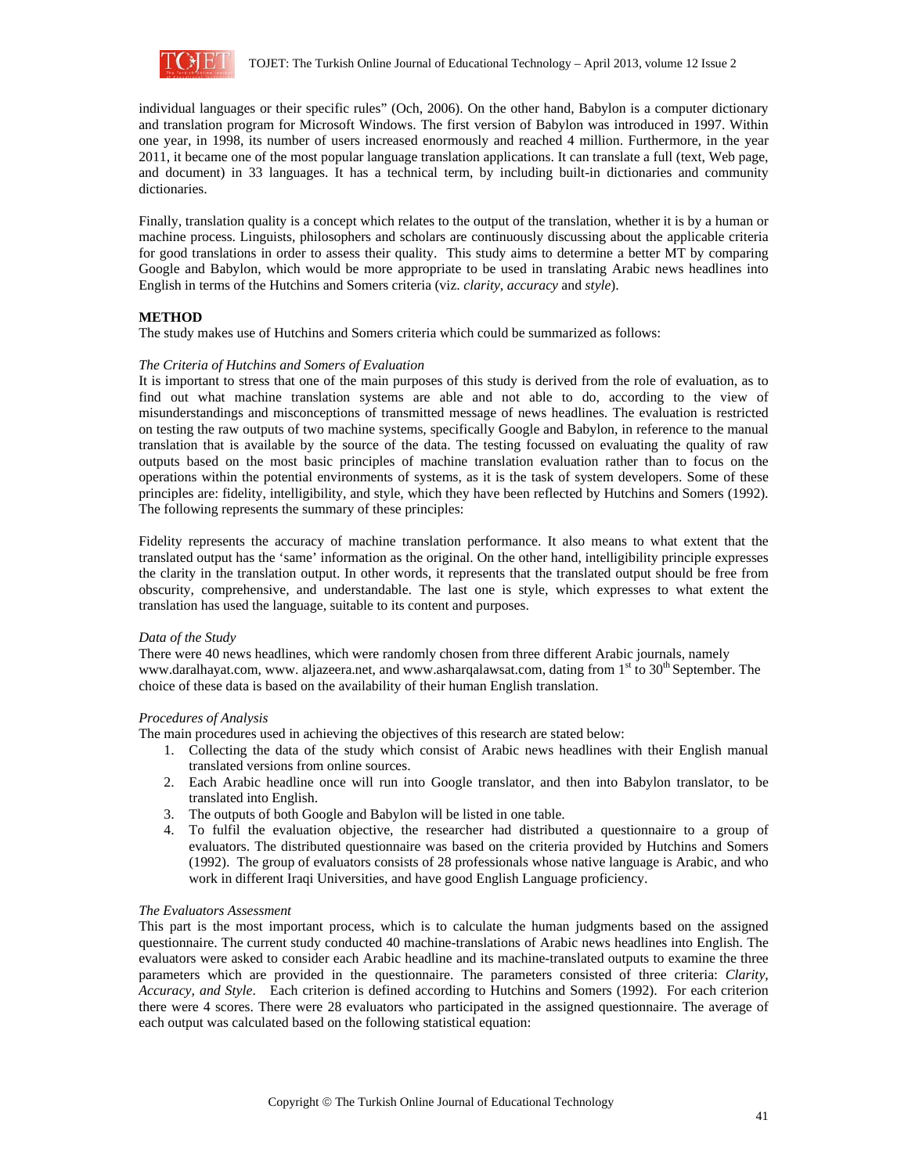

individual languages or their specific rules" (Och, 2006). On the other hand, Babylon is a computer dictionary and translation program for Microsoft Windows. The first version of Babylon was introduced in 1997. Within one year, in 1998, its number of users increased enormously and reached 4 million. Furthermore, in the year 2011, it became one of the most popular language translation applications. It can translate a full (text, Web page, and document) in 33 languages. It has a technical term, by including built-in dictionaries and community dictionaries.

Finally, translation quality is a concept which relates to the output of the translation, whether it is by a human or machine process. Linguists, philosophers and scholars are continuously discussing about the applicable criteria for good translations in order to assess their quality. This study aims to determine a better MT by comparing Google and Babylon, which would be more appropriate to be used in translating Arabic news headlines into English in terms of the Hutchins and Somers criteria (viz. *clarity*, *accuracy* and *style*).

# **METHOD**

The study makes use of Hutchins and Somers criteria which could be summarized as follows:

#### *The Criteria of Hutchins and Somers of Evaluation*

It is important to stress that one of the main purposes of this study is derived from the role of evaluation, as to find out what machine translation systems are able and not able to do, according to the view of misunderstandings and misconceptions of transmitted message of news headlines. The evaluation is restricted on testing the raw outputs of two machine systems, specifically Google and Babylon, in reference to the manual translation that is available by the source of the data. The testing focussed on evaluating the quality of raw outputs based on the most basic principles of machine translation evaluation rather than to focus on the operations within the potential environments of systems, as it is the task of system developers. Some of these principles are: fidelity, intelligibility, and style, which they have been reflected by Hutchins and Somers (1992). The following represents the summary of these principles:

Fidelity represents the accuracy of machine translation performance. It also means to what extent that the translated output has the 'same' information as the original. On the other hand, intelligibility principle expresses the clarity in the translation output. In other words, it represents that the translated output should be free from obscurity, comprehensive, and understandable. The last one is style, which expresses to what extent the translation has used the language, suitable to its content and purposes.

#### *Data of the Study*

There were 40 news headlines, which were randomly chosen from three different Arabic journals, namely www.daralhayat.com, www. aljazeera.net, and www.asharqalawsat.com, dating from 1<sup>st</sup> to 30<sup>th</sup> September. The choice of these data is based on the availability of their human English translation.

# *Procedures of Analysis*

The main procedures used in achieving the objectives of this research are stated below:

- 1. Collecting the data of the study which consist of Arabic news headlines with their English manual translated versions from online sources.
- 2. Each Arabic headline once will run into Google translator, and then into Babylon translator, to be translated into English.
- 3. The outputs of both Google and Babylon will be listed in one table.
- 4. To fulfil the evaluation objective, the researcher had distributed a questionnaire to a group of evaluators. The distributed questionnaire was based on the criteria provided by Hutchins and Somers (1992). The group of evaluators consists of 28 professionals whose native language is Arabic, and who work in different Iraqi Universities, and have good English Language proficiency.

#### *The Evaluators Assessment*

This part is the most important process, which is to calculate the human judgments based on the assigned questionnaire. The current study conducted 40 machine-translations of Arabic news headlines into English. The evaluators were asked to consider each Arabic headline and its machine-translated outputs to examine the three parameters which are provided in the questionnaire. The parameters consisted of three criteria: *Clarity, Accuracy, and Style*. Each criterion is defined according to Hutchins and Somers (1992). For each criterion there were 4 scores. There were 28 evaluators who participated in the assigned questionnaire. The average of each output was calculated based on the following statistical equation: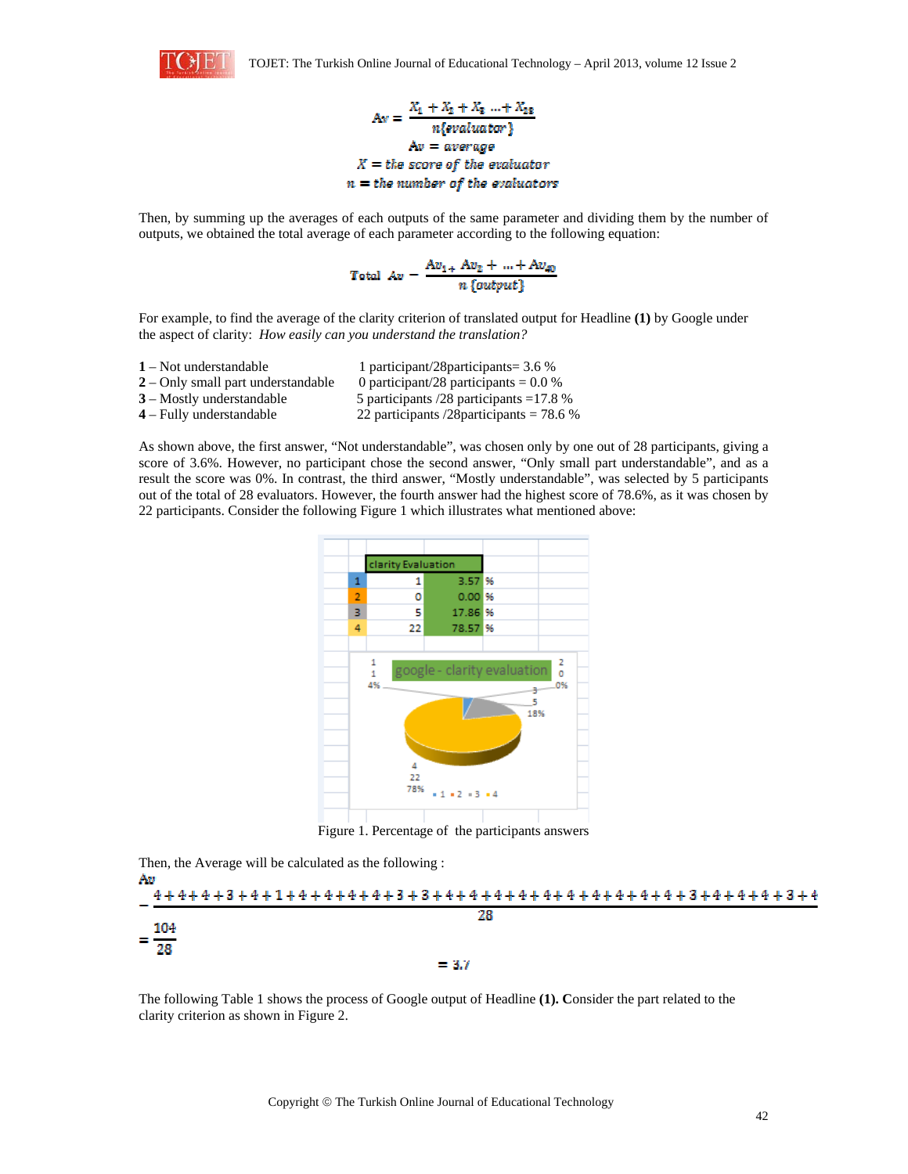

 $A_N = \frac{X_1 + X_2 + X_3 + X_{28}}{n\{evaluator\}}$  $Av = average$  $X =$  the score of the evaluator  $n =$  the number of the evaluators

Then, by summing up the averages of each outputs of the same parameter and dividing them by the number of outputs, we obtained the total average of each parameter according to the following equation:

 $Total Av = \frac{Av_{1+} Av_2 + ... + Av_{40}}{n \{output\}}$ 

For example, to find the average of the clarity criterion of translated output for Headline **(1)** by Google under the aspect of clarity: *How easily can you understand the translation?* 

 – Not understandable 1 participant/28participants= 3.6 % – Only small part understandable 0 participant/28 participants = 0.0 % – Mostly understandable 5 participants /28 participants =17.8 % – Fully understandable 22 participants /28participants = 78.6 %

As shown above, the first answer, "Not understandable", was chosen only by one out of 28 participants, giving a score of 3.6%. However, no participant chose the second answer, "Only small part understandable", and as a result the score was 0%. In contrast, the third answer, "Mostly understandable", was selected by 5 participants out of the total of 28 evaluators. However, the fourth answer had the highest score of 78.6%, as it was chosen by 22 participants. Consider the following Figure 1 which illustrates what mentioned above:



Then, the Average will be calculated as the following :



The following Table 1 shows the process of Google output of Headline **(1). C**onsider the part related to the clarity criterion as shown in Figure 2.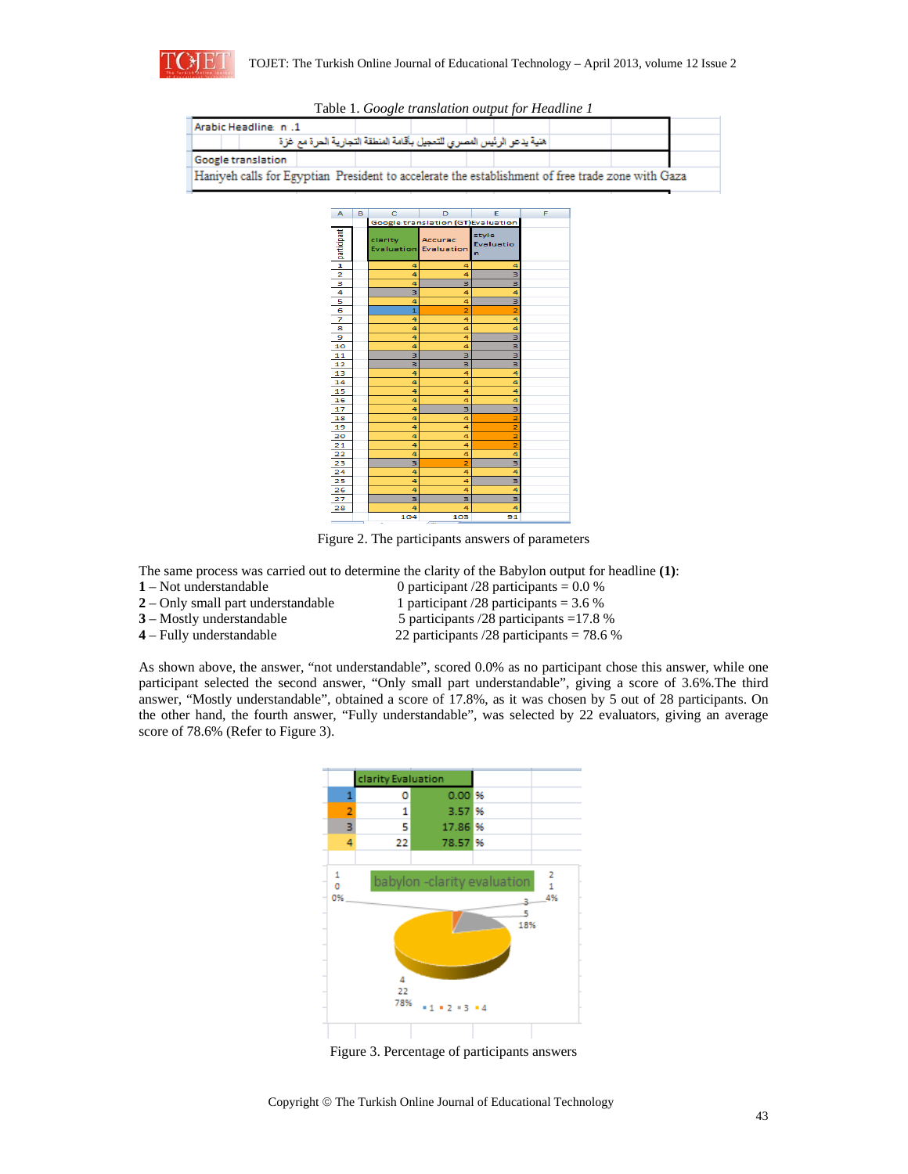

| Arabic Headline: n. 1                                                                             |  |  |  |  |  |  |  |
|---------------------------------------------------------------------------------------------------|--|--|--|--|--|--|--|
| هنية يدعو الرئيس المصرى للتعجيل بأقامة المنطقة التجارية الحرة مع غزة                              |  |  |  |  |  |  |  |
| Google translation                                                                                |  |  |  |  |  |  |  |
| Haniyeh calls for Egyptian President to accelerate the establishment of free trade zone with Gaza |  |  |  |  |  |  |  |

Table 1. *Google translation output for Headline 1* 



Figure 2. The participants answers of parameters

The same process was carried out to determine the clarity of the Babylon output for headline **(1)**:

- 
- 
- 
- 

**1** – Not understandable 0 participant /28 participants = 0.0 % **2** – Only small part understandable 1 participant /28 participants = 3.6 % **3** – Mostly understandable 5 participants  $/28$  participants =17.8 %<br> **4** – Fully understandable 22 participants  $/28$  participants = 78.6 %

22 participants  $/28$  participants = 78.6 %

As shown above, the answer, "not understandable", scored 0.0% as no participant chose this answer, while one participant selected the second answer, "Only small part understandable", giving a score of 3.6%.The third answer, "Mostly understandable", obtained a score of 17.8%, as it was chosen by 5 out of 28 participants. On the other hand, the fourth answer, "Fully understandable", was selected by 22 evaluators, giving an average score of 78.6% (Refer to Figure 3).



Figure 3. Percentage of participants answers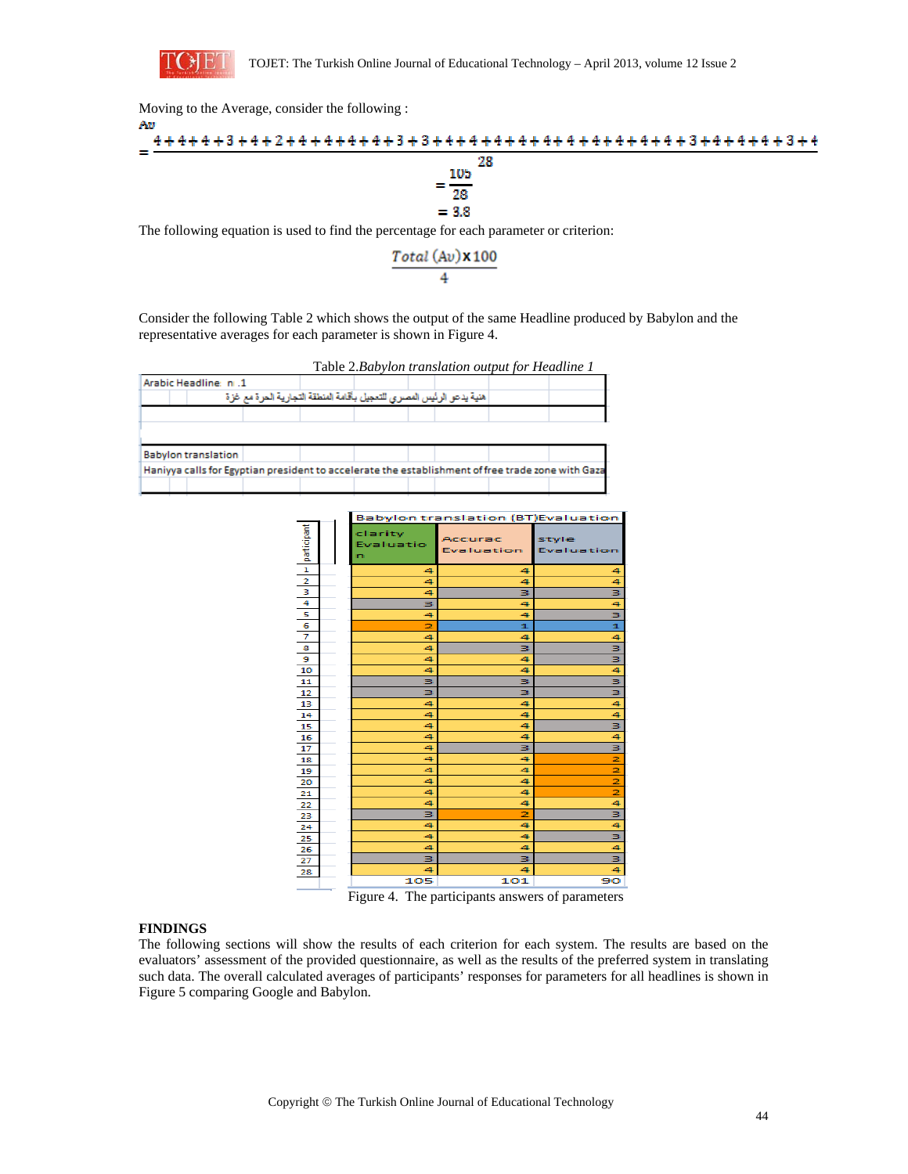

Moving to the Average, consider the following :



The following equation is used to find the percentage for each parameter or criterion:

$$
\frac{Total (Av) \times 100}{4}
$$

Consider the following Table 2 which shows the output of the same Headline produced by Babylon and the representative averages for each parameter is shown in Figure 4.

| Arabic Headline: n.1                                                 |  |  |  |  |  |  |  |
|----------------------------------------------------------------------|--|--|--|--|--|--|--|
| هنية يدعو الرئيس المصرى للتعجيل بأقامة المنطقة التجارية الحرة مع غزة |  |  |  |  |  |  |  |
|                                                                      |  |  |  |  |  |  |  |
|                                                                      |  |  |  |  |  |  |  |
|                                                                      |  |  |  |  |  |  |  |
|                                                                      |  |  |  |  |  |  |  |

|                | <b>Babylon translation (BT) Evaluation</b> |                           |                       |                     |  |  |  |
|----------------|--------------------------------------------|---------------------------|-----------------------|---------------------|--|--|--|
| participant    |                                            | clarity<br>Evaluatio<br>n | Accurac<br>Evaluation | style<br>Evaluation |  |  |  |
| $\mathbf{1}$   |                                            | 4                         | 4                     | 4                   |  |  |  |
| $\overline{2}$ |                                            | 4                         | 4                     | 4                   |  |  |  |
| 3              |                                            | 4                         | з                     | 3                   |  |  |  |
| 4              |                                            | з                         | 4                     | 4                   |  |  |  |
| 5              |                                            | 4                         | 4                     | 3                   |  |  |  |
| 6              |                                            | 2                         | ı                     | 1                   |  |  |  |
| 7              |                                            | 4                         | 4                     | 4                   |  |  |  |
| 8              |                                            | 4                         | з                     | 3                   |  |  |  |
| э              |                                            | 4                         | 4                     | 3                   |  |  |  |
| 10             |                                            | 4                         | 4                     | 4                   |  |  |  |
| 11             |                                            | з                         | з                     | 3                   |  |  |  |
| 12             |                                            | з                         | з                     | з                   |  |  |  |
| 13             |                                            | 4                         | 4                     | 4                   |  |  |  |
| 14             |                                            | 4                         | 4                     | 4                   |  |  |  |
| 15             |                                            | 4                         | 4                     | 3                   |  |  |  |
| 16             |                                            | 4                         | 4                     | 4                   |  |  |  |
| 17             |                                            | 4                         | з                     | 3                   |  |  |  |
| 18             |                                            | 4                         | 4                     | 2                   |  |  |  |
| 19             |                                            | 4                         | 4                     | 2                   |  |  |  |
| 20             |                                            | 4                         | 4                     | 2                   |  |  |  |
| 21             |                                            | 4                         | 4                     | 2                   |  |  |  |
| 22             |                                            | 4                         | 4                     | 4                   |  |  |  |
| 23             |                                            | з                         | 2                     | з                   |  |  |  |
| 24             |                                            | 4                         | 4                     | 4                   |  |  |  |
| 25             |                                            | 4                         | 4                     | з                   |  |  |  |
| 26             |                                            | 4                         | 4                     | 4                   |  |  |  |
| 27             |                                            | з                         | з                     | з                   |  |  |  |
| 28             |                                            | 4                         | 4                     | 4                   |  |  |  |
|                |                                            | 105                       | 101                   | 90                  |  |  |  |

Figure 4. The participants answers of parameters

# **FINDINGS**

The following sections will show the results of each criterion for each system. The results are based on the evaluators' assessment of the provided questionnaire, as well as the results of the preferred system in translating such data. The overall calculated averages of participants' responses for parameters for all headlines is shown in Figure 5 comparing Google and Babylon.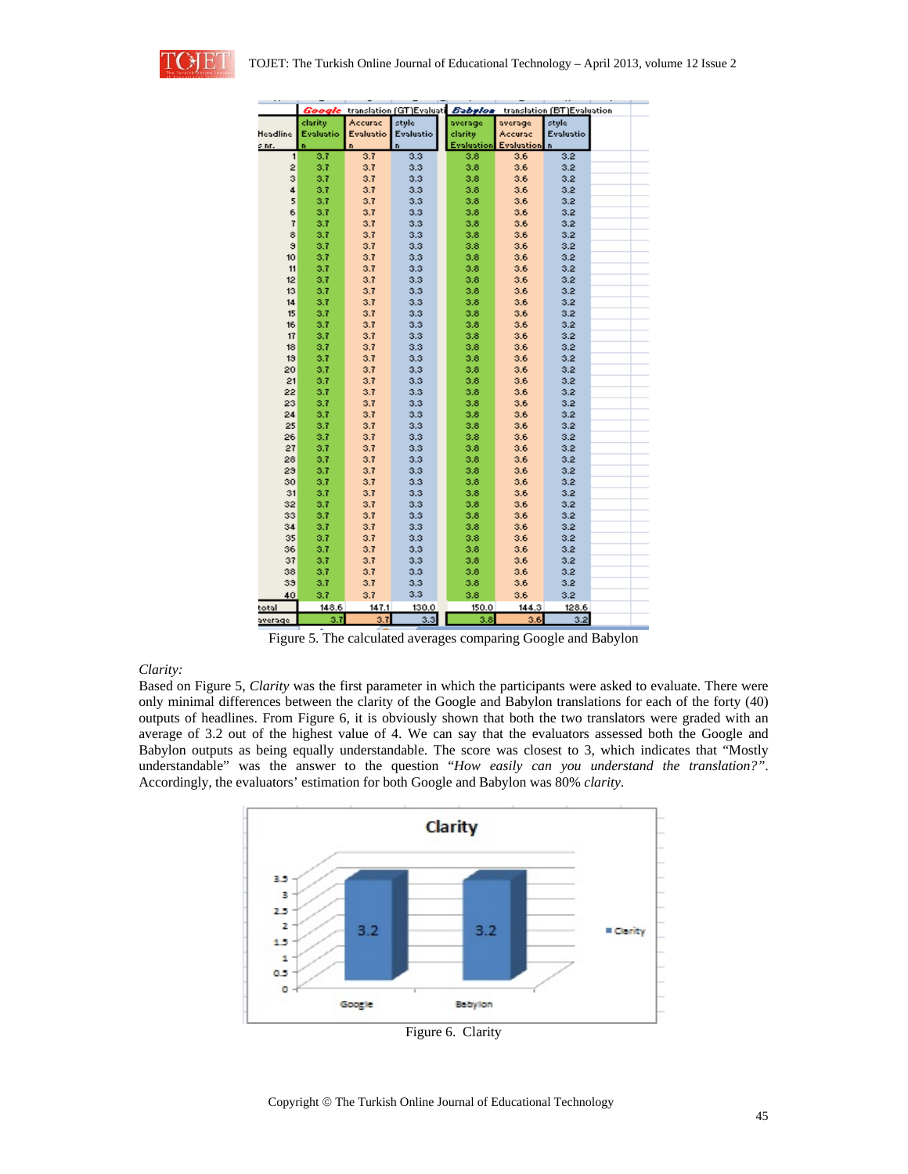

|          |           |           | Google translation (GT)Evaluati Babylon |            |            | translation (BT)Evaluation |  |
|----------|-----------|-----------|-----------------------------------------|------------|------------|----------------------------|--|
|          | clarity   | Accurac   | style                                   | average    | average    | style                      |  |
| Headline | Evaluatio | Evaluatio | Evaluatio                               | clarity    | Accurac    | Evaluatio                  |  |
| s nr.    | n.        | n.        | n.                                      | Evaluation | Evaluation | $\mathbf{r}$               |  |
| 1        | 3.7       | 3.7       | 3.3                                     | 3.8        | 3.6        | 3.2                        |  |
| 2        | 3.7       | 3.7       | 3.3                                     | 3.8        | 3.6        | 3.2 <sub>1</sub>           |  |
| з        | 3.7       | 3.7       | 3.3                                     | 3.8        | 3.6        | 3.2                        |  |
| 4        | 3.7       | 3.7       | 3.3                                     | 3.8        | 3.6        | 3.2                        |  |
| 5        | 3.7       | 3.7       | 3.3                                     | 3.8        | 3.6        | 3.2                        |  |
| 6        | 3.7       | 3.7       | 3.3                                     | 3.8        | 3.6        | 3.2                        |  |
| 7        | 3.7       | 3.7       | 3.3                                     | 3.8        | 3.6        | 3.2                        |  |
| 8        | 3.7       | 3.7       | 3.3                                     | 3.8        | 3.6        | 3.2                        |  |
| э        | 3.7       | 3.7       | 3.3                                     | 3.8        | 3.6        | 3.2                        |  |
| 10       | 3.7       | 3.7       | 3.3                                     | 3.8        | 3.6        | 3.2                        |  |
| 11       | 3.7       | 3.7       | 3.3                                     | 3.8        | 3.6        | 3.2                        |  |
| 12       | 3.7       | 3.7       | 3.3                                     | 3.8        | 3.6        | 3.2                        |  |
| 13       | 3.7       | 3.7       | 3.3                                     | 3.8        | 3.6        | 3.2                        |  |
| 14       | 3.7       | 3.7       | 3.3                                     | 3.8        | 3.6        | 3.2                        |  |
| 15       | 3.7       | 3.7       | 3.3                                     | 3.8        | 3.6        | 3.2                        |  |
| 16       | 3.7       | 3.7       | 3.3                                     | 3.8        | 3.6        | 3.2                        |  |
| 17       | 3.7       | 3.7       | 3.3                                     |            |            |                            |  |
|          |           |           |                                         | 3.8        | 3.6        | 3.2                        |  |
| 18       | 3.7       | 3.7       | 3.3                                     | 3.8        | 3.6        | 3.2                        |  |
| 19       | 3.7       | 3.7       | 3.3                                     | 3.8        | 3.6        | 3.2                        |  |
| 20       | 3.7       | 3.7       | 3.3                                     | 3.8        | 3.6        | 3.2                        |  |
| 21       | 3.7       | 3.7       | 3.3                                     | 3.8        | 3.6        | 3.2                        |  |
| 22       | 3.7       | 3.7       | 3.3                                     | 3.8        | 3.6        | 3.2                        |  |
| 23       | 3.7       | 3.7       | 3.3                                     | 3.8        | 3.6        | 3.2                        |  |
| 24       | 3.7       | 3.7       | 3.3                                     | 3.8        | 3.6        | 3.2                        |  |
| 25       | 3.7       | 3.7       | 3.3                                     | 3.8        | 3.6        | 3.2                        |  |
| 26       | 3.7       | 3.7       | 3.3                                     | 3.8        | 3.6        | 3.2                        |  |
| 27       | 3.7       | 3.7       | 3.3                                     | 3.8        | 3.6        | 3.2                        |  |
| 28       | 3.7       | 3.7       | 3.3                                     | 3.8        | 3.6        | 3.2                        |  |
| 29       | 3.7       | 3.7       | 3.3                                     | 3.8        | 3.6        | 3.2                        |  |
| 30       | 3.7       | 3.7       | 3.3                                     | 3.8        | 3.6        | 3.2                        |  |
| 31       | 3.7       | 3.7       | 3.3                                     | 3.8        | 3.6        | 3.2                        |  |
| 32       | 3.7       | 3.7       | 3.3                                     | 3.8        | 3.6        | 3.2                        |  |
| 33       | 3.7       | 3.7       | 3.3                                     | 3.8        | 3.6        | 3.2                        |  |
| 34       | 3.7       | 3.7       | 3.3                                     | 3.8        | 3.6        | 3.2                        |  |
| 35       | 3.7       | 3.7       | 3.3                                     | 3.8        | 3.6        | 3.2                        |  |
| 36       | 3.7       | 3.7       | 3.3                                     | 3.8        | 3.6        | 3.2                        |  |
| 37       | 3.7       | 3.7       | 3.3                                     | 3.8        | 3.6        | 3.2                        |  |
| 38       | 3.7       | 3.7       | 3.3                                     | 3.8        | 3.6        | 3.2                        |  |
| 39       | 3.7       | 3.7       | 3.3                                     | 3.8        | 3.6        | 3.2                        |  |
| 40       | 3.7       | 3.7       | 3.3                                     | 3.8        | 3.6        | 3.2                        |  |
| total    | 148.6     | 147.1     | 130.0                                   | 150.0      | 144.3      | 128.6                      |  |
|          |           |           |                                         |            |            |                            |  |
| average  | 3.7       | 3.7       | 3.3                                     | 3.8        | 3.6        | 3.2                        |  |

Figure 5. The calculated averages comparing Google and Babylon

# *Clarity:*

Based on Figure 5, *Clarity* was the first parameter in which the participants were asked to evaluate. There were only minimal differences between the clarity of the Google and Babylon translations for each of the forty (40) outputs of headlines. From Figure 6, it is obviously shown that both the two translators were graded with an average of 3.2 out of the highest value of 4. We can say that the evaluators assessed both the Google and Babylon outputs as being equally understandable. The score was closest to 3, which indicates that "Mostly understandable" was the answer to the question "*How easily can you understand the translation?"*. Accordingly, the evaluators' estimation for both Google and Babylon was 80% *clarity*.

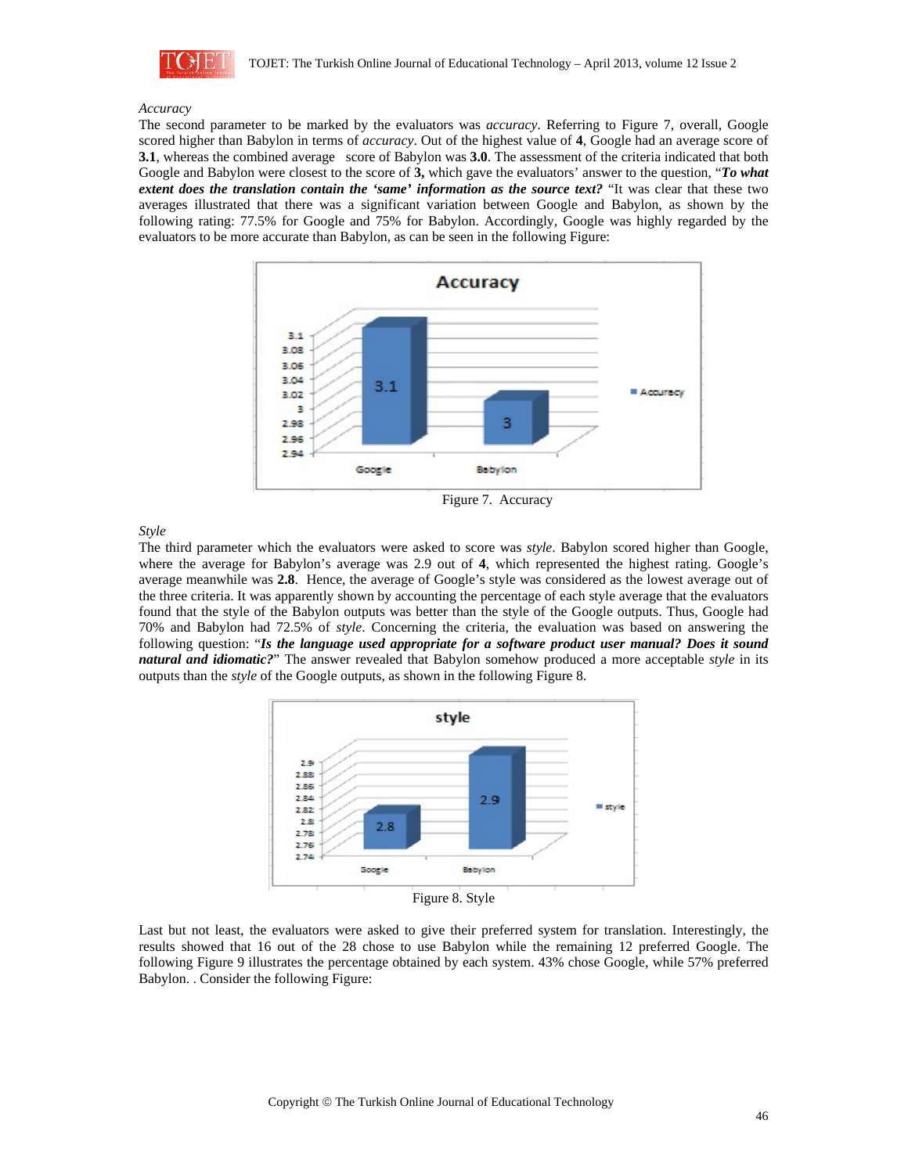

#### *Accuracy*

The second parameter to be marked by the evaluators was *accuracy*. Referring to Figure 7, overall, Google scored higher than Babylon in terms of *accuracy*. Out of the highest value of **4**, Google had an average score of **3.1**, whereas the combined average score of Babylon was **3.0**. The assessment of the criteria indicated that both Google and Babylon were closest to the score of **3,** which gave the evaluators' answer to the question, "*To what extent does the translation contain the 'same' information as the source text? "It was clear that these two* averages illustrated that there was a significant variation between Google and Babylon, as shown by the following rating: 77.5% for Google and 75% for Babylon. Accordingly, Google was highly regarded by the evaluators to be more accurate than Babylon, as can be seen in the following Figure:



Figure 7. Accuracy

*Style* 

The third parameter which the evaluators were asked to score was *style*. Babylon scored higher than Google, where the average for Babylon's average was 2.9 out of **4**, which represented the highest rating. Google's average meanwhile was **2.8**. Hence, the average of Google's style was considered as the lowest average out of the three criteria. It was apparently shown by accounting the percentage of each style average that the evaluators found that the style of the Babylon outputs was better than the style of the Google outputs. Thus, Google had 70% and Babylon had 72.5% of *style*. Concerning the criteria, the evaluation was based on answering the following question: "*Is the language used appropriate for a software product user manual? Does it sound natural and idiomatic?*" The answer revealed that Babylon somehow produced a more acceptable *style* in its outputs than the *style* of the Google outputs, as shown in the following Figure 8.



Last but not least, the evaluators were asked to give their preferred system for translation. Interestingly, the results showed that 16 out of the 28 chose to use Babylon while the remaining 12 preferred Google. The following Figure 9 illustrates the percentage obtained by each system. 43% chose Google, while 57% preferred Babylon. . Consider the following Figure: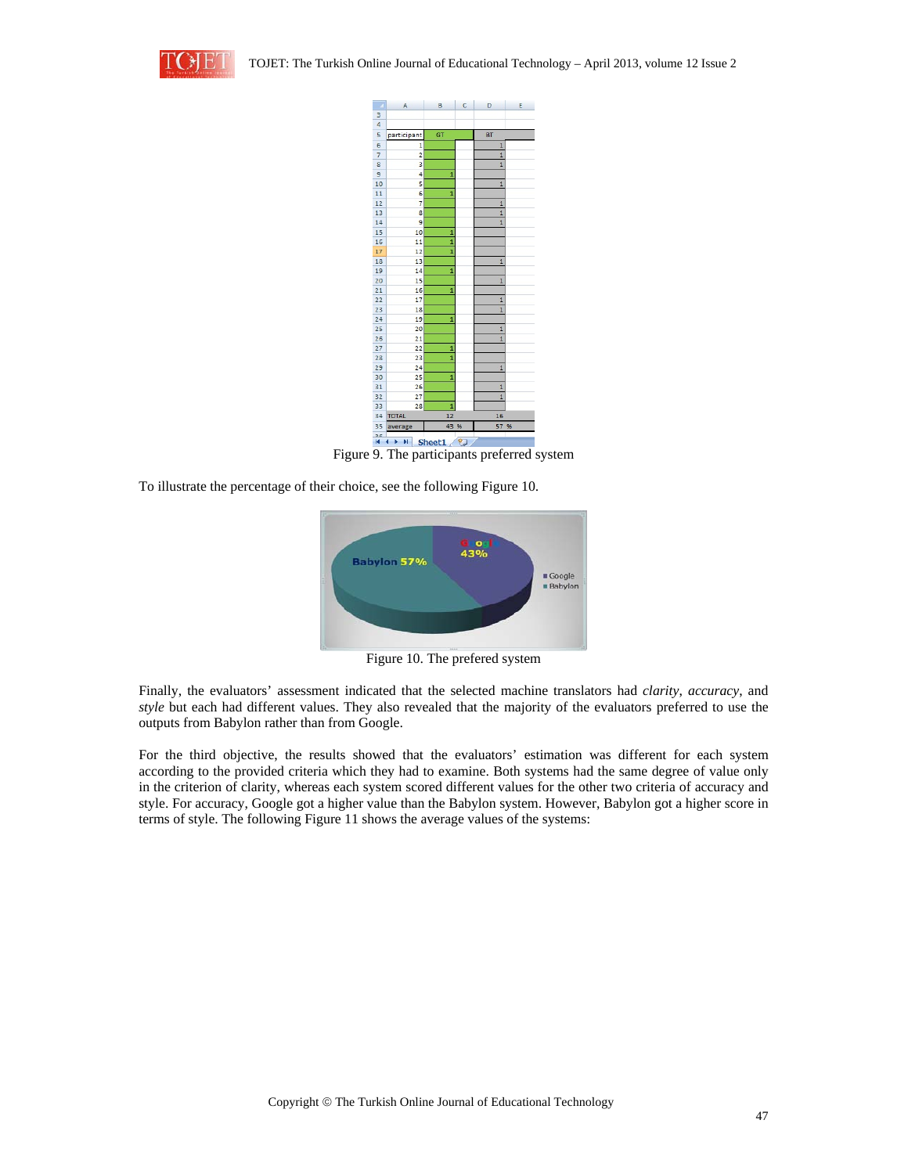



Figure 9. The participants preferred system

To illustrate the percentage of their choice, see the following Figure 10.



Figure 10. The prefered system

Finally, the evaluators' assessment indicated that the selected machine translators had *clarity*, *accuracy*, and *style* but each had different values. They also revealed that the majority of the evaluators preferred to use the outputs from Babylon rather than from Google.

For the third objective, the results showed that the evaluators' estimation was different for each system according to the provided criteria which they had to examine. Both systems had the same degree of value only in the criterion of clarity, whereas each system scored different values for the other two criteria of accuracy and style. For accuracy, Google got a higher value than the Babylon system. However, Babylon got a higher score in terms of style. The following Figure 11 shows the average values of the systems: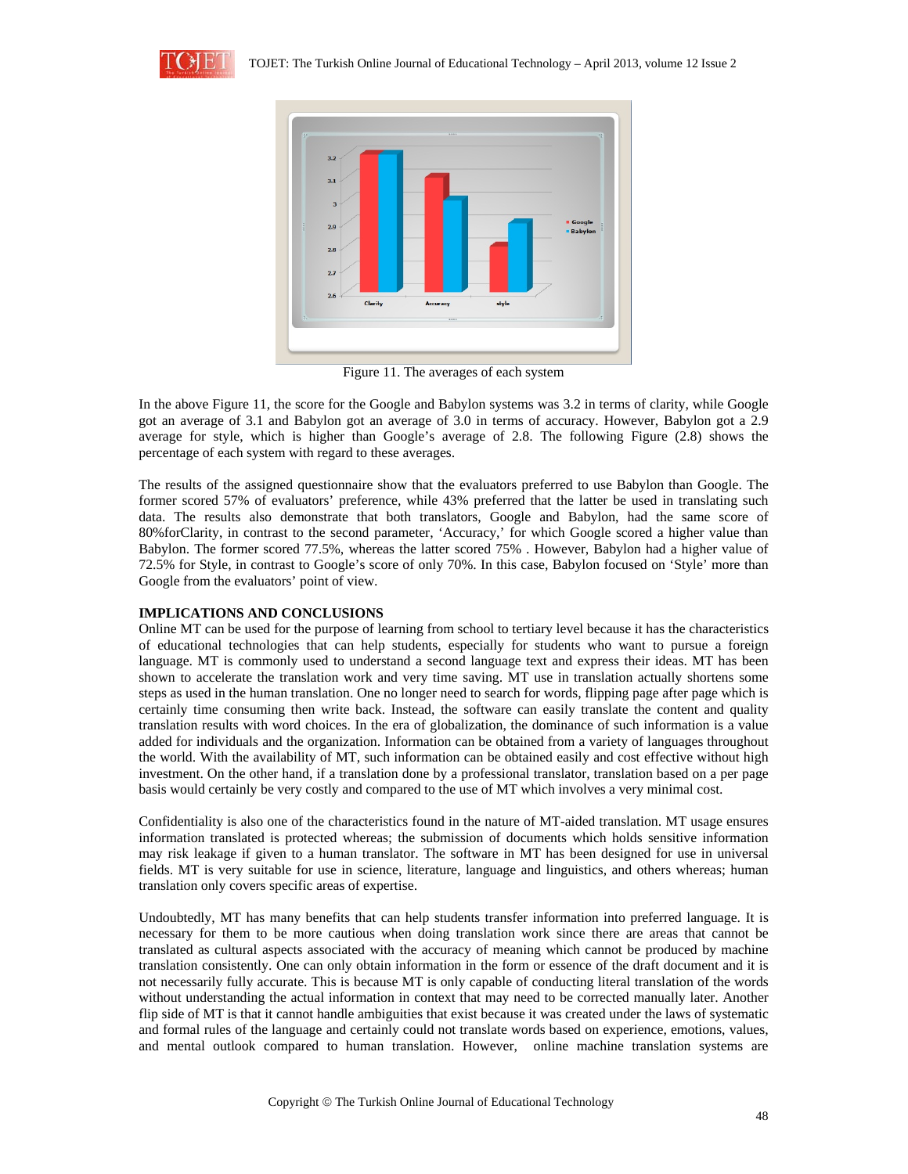



Figure 11. The averages of each system

In the above Figure 11, the score for the Google and Babylon systems was 3.2 in terms of clarity, while Google got an average of 3.1 and Babylon got an average of 3.0 in terms of accuracy. However, Babylon got a 2.9 average for style, which is higher than Google's average of 2.8. The following Figure (2.8) shows the percentage of each system with regard to these averages.

The results of the assigned questionnaire show that the evaluators preferred to use Babylon than Google. The former scored 57% of evaluators' preference, while 43% preferred that the latter be used in translating such data. The results also demonstrate that both translators, Google and Babylon, had the same score of 80%forClarity, in contrast to the second parameter, 'Accuracy,' for which Google scored a higher value than Babylon. The former scored 77.5%, whereas the latter scored 75% . However, Babylon had a higher value of 72.5% for Style, in contrast to Google's score of only 70%. In this case, Babylon focused on 'Style' more than Google from the evaluators' point of view.

# **IMPLICATIONS AND CONCLUSIONS**

Online MT can be used for the purpose of learning from school to tertiary level because it has the characteristics of educational technologies that can help students, especially for students who want to pursue a foreign language. MT is commonly used to understand a second language text and express their ideas. MT has been shown to accelerate the translation work and very time saving. MT use in translation actually shortens some steps as used in the human translation. One no longer need to search for words, flipping page after page which is certainly time consuming then write back. Instead, the software can easily translate the content and quality translation results with word choices. In the era of globalization, the dominance of such information is a value added for individuals and the organization. Information can be obtained from a variety of languages throughout the world. With the availability of MT, such information can be obtained easily and cost effective without high investment. On the other hand, if a translation done by a professional translator, translation based on a per page basis would certainly be very costly and compared to the use of MT which involves a very minimal cost.

Confidentiality is also one of the characteristics found in the nature of MT-aided translation. MT usage ensures information translated is protected whereas; the submission of documents which holds sensitive information may risk leakage if given to a human translator. The software in MT has been designed for use in universal fields. MT is very suitable for use in science, literature, language and linguistics, and others whereas; human translation only covers specific areas of expertise.

Undoubtedly, MT has many benefits that can help students transfer information into preferred language. It is necessary for them to be more cautious when doing translation work since there are areas that cannot be translated as cultural aspects associated with the accuracy of meaning which cannot be produced by machine translation consistently. One can only obtain information in the form or essence of the draft document and it is not necessarily fully accurate. This is because MT is only capable of conducting literal translation of the words without understanding the actual information in context that may need to be corrected manually later. Another flip side of MT is that it cannot handle ambiguities that exist because it was created under the laws of systematic and formal rules of the language and certainly could not translate words based on experience, emotions, values, and mental outlook compared to human translation. However, online machine translation systems are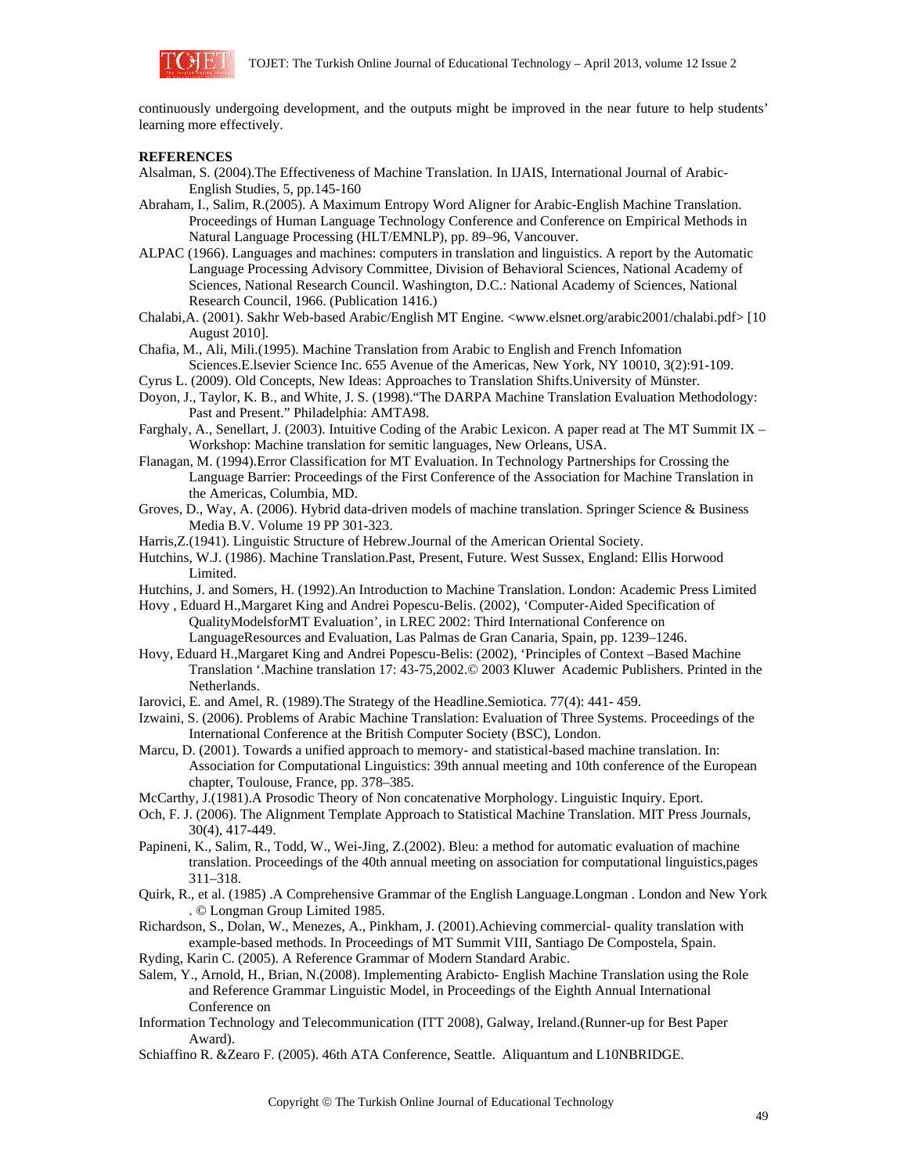

continuously undergoing development, and the outputs might be improved in the near future to help students' learning more effectively.

#### **REFERENCES**

- Alsalman, S. (2004).The Effectiveness of Machine Translation. In IJAIS, International Journal of Arabic-English Studies, 5, pp.145-160
- Abraham, I., Salim, R.(2005). A Maximum Entropy Word Aligner for Arabic-English Machine Translation. Proceedings of Human Language Technology Conference and Conference on Empirical Methods in Natural Language Processing (HLT/EMNLP), pp. 89–96, Vancouver.
- ALPAC (1966). Languages and machines: computers in translation and linguistics. A report by the Automatic Language Processing Advisory Committee, Division of Behavioral Sciences, National Academy of Sciences, National Research Council. Washington, D.C.: National Academy of Sciences, National Research Council, 1966. (Publication 1416.)
- Chalabi,A. (2001). Sakhr Web-based Arabic/English MT Engine. <www.elsnet.org/arabic2001/chalabi.pdf> [10 August 2010].
- Chafia, M., Ali, Mili.(1995). Machine Translation from Arabic to English and French Infomation Sciences.E.lsevier Science Inc. 655 Avenue of the Americas, New York, NY 10010, 3(2):91-109.
- Cyrus L. (2009). Old Concepts, New Ideas: Approaches to Translation Shifts.University of Münster.
- Doyon, J., Taylor, K. B., and White, J. S. (1998)."The DARPA Machine Translation Evaluation Methodology: Past and Present." Philadelphia: AMTA98.
- Farghaly, A., Senellart, J. (2003). Intuitive Coding of the Arabic Lexicon. A paper read at The MT Summit IX Workshop: Machine translation for semitic languages, New Orleans, USA.
- Flanagan, M. (1994).Error Classification for MT Evaluation. In Technology Partnerships for Crossing the Language Barrier: Proceedings of the First Conference of the Association for Machine Translation in the Americas, Columbia, MD.
- Groves, D., Way, A. (2006). Hybrid data-driven models of machine translation. Springer Science & Business Media B.V. Volume 19 PP 301-323.
- Harris,Z.(1941). Linguistic Structure of Hebrew.Journal of the American Oriental Society.
- Hutchins, W.J. (1986). Machine Translation.Past, Present, Future. West Sussex, England: Ellis Horwood Limited.
- Hutchins, J. and Somers, H. (1992).An Introduction to Machine Translation. London: Academic Press Limited

Hovy , Eduard H.,Margaret King and Andrei Popescu-Belis. (2002), 'Computer-Aided Specification of QualityModelsforMT Evaluation', in LREC 2002: Third International Conference on LanguageResources and Evaluation, Las Palmas de Gran Canaria, Spain, pp. 1239–1246.

- Hovy, Eduard H.,Margaret King and Andrei Popescu-Belis: (2002), 'Principles of Context –Based Machine Translation '.Machine translation 17: 43-75,2002.© 2003 Kluwer Academic Publishers. Printed in the Netherlands.
- Iarovici, E. and Amel, R. (1989).The Strategy of the Headline.Semiotica. 77(4): 441- 459.
- Izwaini, S. (2006). Problems of Arabic Machine Translation: Evaluation of Three Systems. Proceedings of the International Conference at the British Computer Society (BSC), London.
- Marcu, D. (2001). Towards a unified approach to memory- and statistical-based machine translation. In: Association for Computational Linguistics: 39th annual meeting and 10th conference of the European chapter, Toulouse, France, pp. 378–385.
- McCarthy, J.(1981).A Prosodic Theory of Non concatenative Morphology. Linguistic Inquiry. Eport.
- Och, F. J. (2006). The Alignment Template Approach to Statistical Machine Translation. MIT Press Journals, 30(4), 417-449.
- Papineni, K., Salim, R., Todd, W., Wei-Jing, Z.(2002). Bleu: a method for automatic evaluation of machine translation. Proceedings of the 40th annual meeting on association for computational linguistics,pages 311–318.
- Quirk, R., et al. (1985) .A Comprehensive Grammar of the English Language.Longman . London and New York . © Longman Group Limited 1985.
- Richardson, S., Dolan, W., Menezes, A., Pinkham, J. (2001).Achieving commercial- quality translation with example-based methods. In Proceedings of MT Summit VIII, Santiago De Compostela, Spain.
- Ryding, Karin C. (2005). A Reference Grammar of Modern Standard Arabic.
- Salem, Y., Arnold, H., Brian, N.(2008). Implementing Arabicto- English Machine Translation using the Role and Reference Grammar Linguistic Model, in Proceedings of the Eighth Annual International Conference on
- Information Technology and Telecommunication (ITT 2008), Galway, Ireland.(Runner-up for Best Paper Award).
- Schiaffino R. &Zearo F. (2005). 46th ATA Conference, Seattle. Aliquantum and L10NBRIDGE.